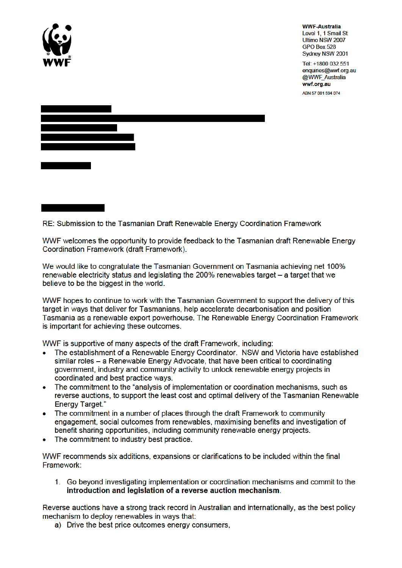

**WWF-Australia** Level 1, 1 Smail St Ultimo NSW 2007 GPO Box 528 Sydney NSW 2001

Tel: +1800 032 551 enquiries@wwf.org.au @WWF Australia wwf.org.au ABN 57 001 594 074



RE: Submission to the Tasmanian Draft Renewable Energy Coordination Framework

WWF welcomes the opportunity to provide feedback to the Tasmanian draft Renewable Energy Coordination Framework (draft Framework).

We would like to congratulate the Tasmanian Government on Tasmania achieving net 100% renewable electricity status and legislating the 200% renewables target – a target that we believe to be the biggest in the world.

WWF hopes to continue to work with the Tasmanian Government to support the delivery of this target in ways that deliver for Tasmanians, help accelerate decarbonisation and position Tasmania as a renewable export powerhouse. The Renewable Energy Coordination Framework is important for achieving these outcomes.

WWF is supportive of many aspects of the draft Framework, including:

- The establishment of a Renewable Energy Coordinator. NSW and Victoria have established similar roles – a Renewable Energy Advocate, that have been critical to coordinating aovernment, industry and community activity to unlock renewable energy projects in coordinated and best practice ways.
- $\bullet$ The commitment to the "analysis of implementation or coordination mechanisms, such as reverse auctions, to support the least cost and optimal delivery of the Tasmanian Renewable **Energy Target."**
- The commitment in a number of places through the draft Framework to community engagement, social outcomes from renewables, maximising benefits and investigation of benefit sharing opportunities, including community renewable energy projects.
- The commitment to industry best practice.

WWF recommends six additions, expansions or clarifications to be included within the final Framework:

1. Go beyond investigating implementation or coordination mechanisms and commit to the introduction and legislation of a reverse auction mechanism.

Reverse auctions have a strong track record in Australian and internationally, as the best policy mechanism to deploy renewables in ways that:

a) Drive the best price outcomes energy consumers,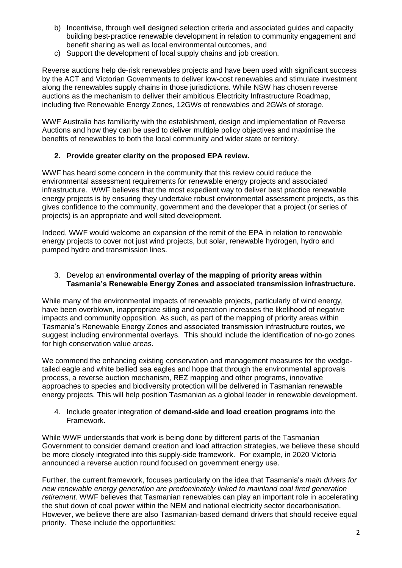- b) Incentivise, through well designed selection criteria and associated guides and capacity building best-practice renewable development in relation to community engagement and benefit sharing as well as local environmental outcomes, and
- c) Support the development of local supply chains and job creation.

Reverse auctions help de-risk renewables projects and have been used with significant success by the ACT and Victorian Governments to deliver low-cost renewables and stimulate investment along the renewables supply chains in those jurisdictions. While NSW has chosen reverse auctions as the mechanism to deliver their ambitious Electricity Infrastructure Roadmap, including five Renewable Energy Zones, 12GWs of renewables and 2GWs of storage.

WWF Australia has familiarity with the establishment, design and implementation of Reverse Auctions and how they can be used to deliver multiple policy objectives and maximise the benefits of renewables to both the local community and wider state or territory.

## **2. Provide greater clarity on the proposed EPA review.**

WWF has heard some concern in the community that this review could reduce the environmental assessment requirements for renewable energy projects and associated infrastructure. WWF believes that the most expedient way to deliver best practice renewable energy projects is by ensuring they undertake robust environmental assessment projects, as this gives confidence to the community, government and the developer that a project (or series of projects) is an appropriate and well sited development.

Indeed, WWF would welcome an expansion of the remit of the EPA in relation to renewable energy projects to cover not just wind projects, but solar, renewable hydrogen, hydro and pumped hydro and transmission lines.

## 3. Develop an **environmental overlay of the mapping of priority areas within Tasmania's Renewable Energy Zones and associated transmission infrastructure.**

While many of the environmental impacts of renewable projects, particularly of wind energy, have been overblown, inappropriate siting and operation increases the likelihood of negative impacts and community opposition. As such, as part of the mapping of priority areas within Tasmania's Renewable Energy Zones and associated transmission infrastructure routes, we suggest including environmental overlays. This should include the identification of no-go zones for high conservation value areas.

We commend the enhancing existing conservation and management measures for the wedgetailed eagle and white bellied sea eagles and hope that through the environmental approvals process, a reverse auction mechanism, REZ mapping and other programs, innovative approaches to species and biodiversity protection will be delivered in Tasmanian renewable energy projects. This will help position Tasmanian as a global leader in renewable development.

4. Include greater integration of **demand-side and load creation programs** into the Framework.

While WWF understands that work is being done by different parts of the Tasmanian Government to consider demand creation and load attraction strategies, we believe these should be more closely integrated into this supply-side framework. For example, in 2020 Victoria announced a reverse auction round focused on government energy use.

Further, the current framework, focuses particularly on the idea that Tasmania's *main drivers for new renewable energy generation are predominately linked to mainland coal fired generation retirement*. WWF believes that Tasmanian renewables can play an important role in accelerating the shut down of coal power within the NEM and national electricity sector decarbonisation. However, we believe there are also Tasmanian-based demand drivers that should receive equal priority. These include the opportunities: